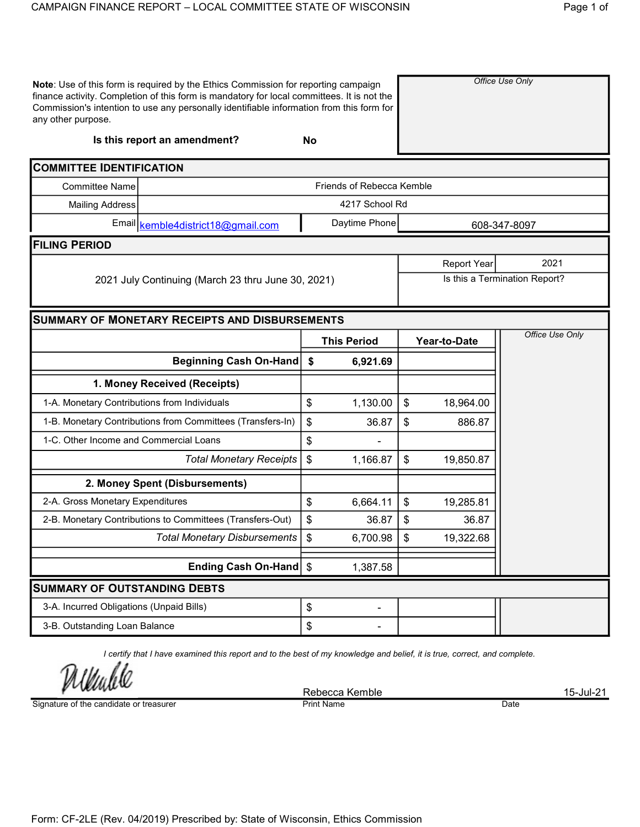| any other purpose.                                    | Note: Use of this form is required by the Ethics Commission for reporting campaign<br>finance activity. Completion of this form is mandatory for local committees. It is not the<br>Commission's intention to use any personally identifiable information from this form for |                               |                           | Office Use Only    |              |                 |  |  |
|-------------------------------------------------------|------------------------------------------------------------------------------------------------------------------------------------------------------------------------------------------------------------------------------------------------------------------------------|-------------------------------|---------------------------|--------------------|--------------|-----------------|--|--|
|                                                       | Is this report an amendment?                                                                                                                                                                                                                                                 | <b>No</b>                     |                           |                    |              |                 |  |  |
| <b>COMMITTEE IDENTIFICATION</b>                       |                                                                                                                                                                                                                                                                              |                               |                           |                    |              |                 |  |  |
| <b>Committee Name</b>                                 |                                                                                                                                                                                                                                                                              |                               | Friends of Rebecca Kemble |                    |              |                 |  |  |
| <b>Mailing Address</b>                                |                                                                                                                                                                                                                                                                              |                               | 4217 School Rd            |                    |              |                 |  |  |
|                                                       | Email kemble4district18@gmail.com                                                                                                                                                                                                                                            |                               | Daytime Phone             |                    |              | 608-347-8097    |  |  |
| <b>FILING PERIOD</b>                                  |                                                                                                                                                                                                                                                                              |                               |                           |                    |              |                 |  |  |
|                                                       |                                                                                                                                                                                                                                                                              |                               |                           | <b>Report Year</b> | 2021         |                 |  |  |
|                                                       | 2021 July Continuing (March 23 thru June 30, 2021)                                                                                                                                                                                                                           | Is this a Termination Report? |                           |                    |              |                 |  |  |
| <b>SUMMARY OF MONETARY RECEIPTS AND DISBURSEMENTS</b> |                                                                                                                                                                                                                                                                              |                               |                           |                    |              |                 |  |  |
|                                                       |                                                                                                                                                                                                                                                                              |                               | <b>This Period</b>        |                    | Year-to-Date | Office Use Only |  |  |
|                                                       | <b>Beginning Cash On-Hand</b>                                                                                                                                                                                                                                                | \$                            | 6,921.69                  |                    |              |                 |  |  |
|                                                       | 1. Money Received (Receipts)                                                                                                                                                                                                                                                 |                               |                           |                    |              |                 |  |  |
| 1-A. Monetary Contributions from Individuals          |                                                                                                                                                                                                                                                                              | \$                            | 1,130.00                  | \$                 | 18,964.00    |                 |  |  |
|                                                       | 1-B. Monetary Contributions from Committees (Transfers-In)                                                                                                                                                                                                                   | \$                            | 36.87                     | \$                 | 886.87       |                 |  |  |
| 1-C. Other Income and Commercial Loans                |                                                                                                                                                                                                                                                                              | \$                            |                           |                    |              |                 |  |  |
|                                                       | <b>Total Monetary Receipts</b>                                                                                                                                                                                                                                               | \$                            | 1,166.87                  | \$                 | 19,850.87    |                 |  |  |
|                                                       | 2. Money Spent (Disbursements)                                                                                                                                                                                                                                               |                               |                           |                    |              |                 |  |  |
|                                                       | 2-A. Gross Monetary Expenditures                                                                                                                                                                                                                                             |                               |                           | \$                 | 19,285.81    |                 |  |  |
|                                                       | 2-B. Monetary Contributions to Committees (Transfers-Out)                                                                                                                                                                                                                    | \$                            | 36.87                     | \$                 | 36.87        |                 |  |  |
|                                                       | <b>Total Monetary Disbursements</b>                                                                                                                                                                                                                                          | \$                            | 6,700.98                  | \$                 | 19,322.68    |                 |  |  |
|                                                       | Ending Cash On-Hand \$                                                                                                                                                                                                                                                       |                               | 1,387.58                  |                    |              |                 |  |  |
| <b>SUMMARY OF OUTSTANDING DEBTS</b>                   |                                                                                                                                                                                                                                                                              |                               |                           |                    |              |                 |  |  |
| 3-A. Incurred Obligations (Unpaid Bills)              |                                                                                                                                                                                                                                                                              | \$                            |                           |                    |              |                 |  |  |
| 3-B. Outstanding Loan Balance                         |                                                                                                                                                                                                                                                                              | \$                            |                           |                    |              |                 |  |  |

I certify that I have examined this report and to the best of my knowledge and belief, it is true, correct, and complete.

*Undele* 

Signature of the candidate or treasurer

Rebecca Kemble<br>
Print Name 15-Jul-21 **Print Name**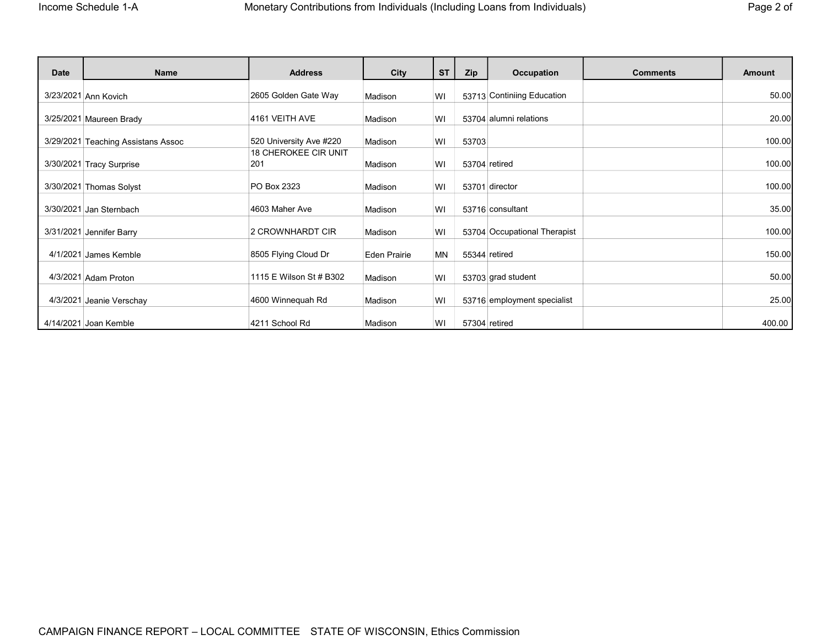| -ade- |  | ı |
|-------|--|---|
|-------|--|---|

| <b>Date</b> | Name                               | <b>Address</b>              | City                | <b>ST</b> | Zip   | <b>Occupation</b>            | <b>Comments</b> | <b>Amount</b> |
|-------------|------------------------------------|-----------------------------|---------------------|-----------|-------|------------------------------|-----------------|---------------|
|             | 3/23/2021 Ann Kovich               | 2605 Golden Gate Way        | Madison             | WI        |       | 53713 Continiing Education   |                 | 50.00         |
|             | 3/25/2021 Maureen Brady            | 4161 VEITH AVE              | Madison             | WI        |       | 53704 alumni relations       |                 | 20.00         |
|             | 3/29/2021 Teaching Assistans Assoc | 520 University Ave #220     | Madison             | WI        | 53703 |                              |                 | 100.00        |
|             |                                    | <b>18 CHEROKEE CIR UNIT</b> |                     |           |       |                              |                 |               |
|             | 3/30/2021 Tracy Surprise           | 201                         | Madison             | WI        |       | 53704 retired                |                 | 100.00        |
|             | 3/30/2021 Thomas Solyst            | PO Box 2323                 | Madison             | WI        |       | 53701 director               |                 | 100.00        |
|             | 3/30/2021 Jan Sternbach            | 4603 Maher Ave              | Madison             | WI        |       | 53716 consultant             |                 | 35.00         |
|             | 3/31/2021 Jennifer Barry           | 2 CROWNHARDT CIR            | Madison             | WI        |       | 53704 Occupational Therapist |                 | 100.00        |
|             | 4/1/2021 James Kemble              | 8505 Flying Cloud Dr        | <b>Eden Prairie</b> | <b>MN</b> |       | 55344 retired                |                 | 150.00        |
|             | 4/3/2021 Adam Proton               | 1115 E Wilson St # B302     | Madison             | WI        |       | 53703 grad student           |                 | 50.00         |
|             | 4/3/2021 Jeanie Verschay           | 4600 Winnequah Rd           | Madison             | WI        |       | 53716 employment specialist  |                 | 25.00         |
|             | 4/14/2021 Joan Kemble              | 4211 School Rd              | Madison             | WI        |       | 57304 retired                |                 | 400.00        |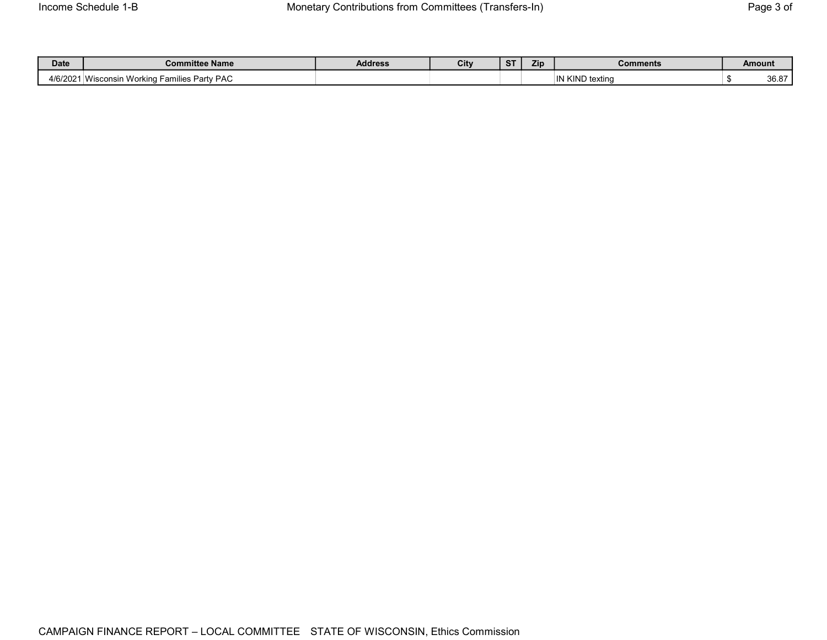| <b>Date</b> | Committee Name                               | <b>Address</b> | City | $\sim$<br>. . | <b>Zin</b> | Comments          | Amount                        |
|-------------|----------------------------------------------|----------------|------|---------------|------------|-------------------|-------------------------------|
| 4/6/2021    | Party PAC<br>Wisconsin Working<br>ı Families |                |      |               |            | Kind<br>) texting | 0007<br>ึงแร่<br><b>PD.01</b> |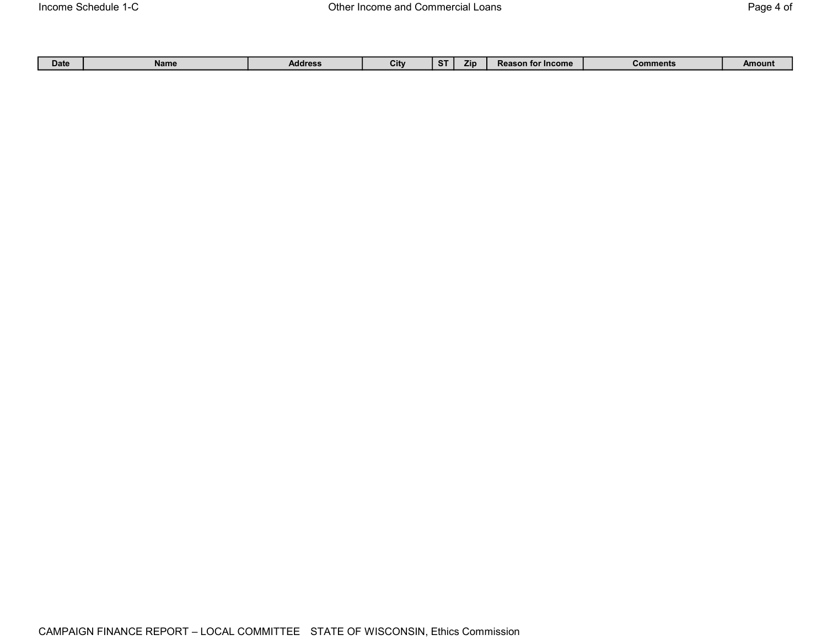|  | Date | Name | <b>Address</b> | <b>The State of Street Street</b><br>UIN |  | 7 in | ™ Income<br>. TOP<br>Rea | $\sim$ nments $\sim$<br>Com | Amount |
|--|------|------|----------------|------------------------------------------|--|------|--------------------------|-----------------------------|--------|
|--|------|------|----------------|------------------------------------------|--|------|--------------------------|-----------------------------|--------|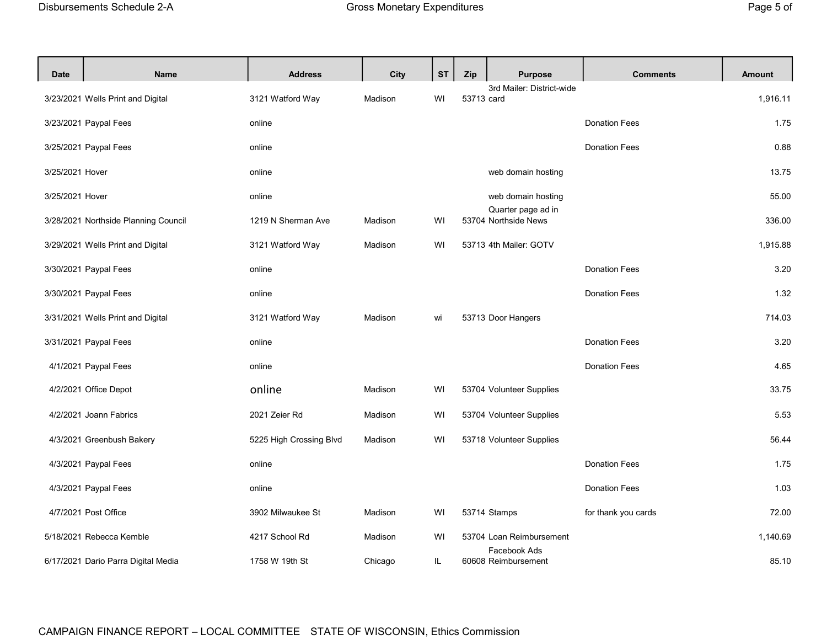| <b>Date</b>     | <b>Name</b>                          | <b>Address</b>          | City    | <b>ST</b> | Zip        | <b>Purpose</b>                             | <b>Comments</b>      | <b>Amount</b> |
|-----------------|--------------------------------------|-------------------------|---------|-----------|------------|--------------------------------------------|----------------------|---------------|
|                 | 3/23/2021 Wells Print and Digital    | 3121 Watford Way        | Madison | WI        | 53713 card | 3rd Mailer: District-wide                  |                      | 1,916.11      |
|                 | 3/23/2021 Paypal Fees                | online                  |         |           |            |                                            | <b>Donation Fees</b> | 1.75          |
|                 | 3/25/2021 Paypal Fees                | online                  |         |           |            |                                            | <b>Donation Fees</b> | 0.88          |
| 3/25/2021 Hover |                                      | online                  |         |           |            | web domain hosting                         |                      | 13.75         |
| 3/25/2021 Hover |                                      | online                  |         |           |            | web domain hosting                         |                      | 55.00         |
|                 | 3/28/2021 Northside Planning Council | 1219 N Sherman Ave      | Madison | WI        |            | Quarter page ad in<br>53704 Northside News |                      | 336.00        |
|                 | 3/29/2021 Wells Print and Digital    | 3121 Watford Way        | Madison | WI        |            | 53713 4th Mailer: GOTV                     |                      | 1,915.88      |
|                 | 3/30/2021 Paypal Fees                | online                  |         |           |            |                                            | <b>Donation Fees</b> | 3.20          |
|                 | 3/30/2021 Paypal Fees                | online                  |         |           |            |                                            | <b>Donation Fees</b> | 1.32          |
|                 | 3/31/2021 Wells Print and Digital    | 3121 Watford Way        | Madison | wi        |            | 53713 Door Hangers                         |                      | 714.03        |
|                 | 3/31/2021 Paypal Fees                | online                  |         |           |            |                                            | <b>Donation Fees</b> | 3.20          |
|                 | 4/1/2021 Paypal Fees                 | online                  |         |           |            |                                            | <b>Donation Fees</b> | 4.65          |
|                 | 4/2/2021 Office Depot                | online                  | Madison | WI        |            | 53704 Volunteer Supplies                   |                      | 33.75         |
|                 | 4/2/2021 Joann Fabrics               | 2021 Zeier Rd           | Madison | WI        |            | 53704 Volunteer Supplies                   |                      | 5.53          |
|                 | 4/3/2021 Greenbush Bakery            | 5225 High Crossing Blvd | Madison | WI        |            | 53718 Volunteer Supplies                   |                      | 56.44         |
|                 | 4/3/2021 Paypal Fees                 | online                  |         |           |            |                                            | <b>Donation Fees</b> | 1.75          |
|                 | 4/3/2021 Paypal Fees                 | online                  |         |           |            |                                            | <b>Donation Fees</b> | 1.03          |
|                 | 4/7/2021 Post Office                 | 3902 Milwaukee St       | Madison | WI        |            | 53714 Stamps                               | for thank you cards  | 72.00         |
|                 | 5/18/2021 Rebecca Kemble             | 4217 School Rd          | Madison | WI        |            | 53704 Loan Reimbursement                   |                      | 1,140.69      |
|                 | 6/17/2021 Dario Parra Digital Media  | 1758 W 19th St          | Chicago | IL.       |            | Facebook Ads<br>60608 Reimbursement        |                      | 85.10         |

## CAMPAIGN FINANCE REPORT – LOCAL COMMITTEE STATE OF WISCONSIN, Ethics Commission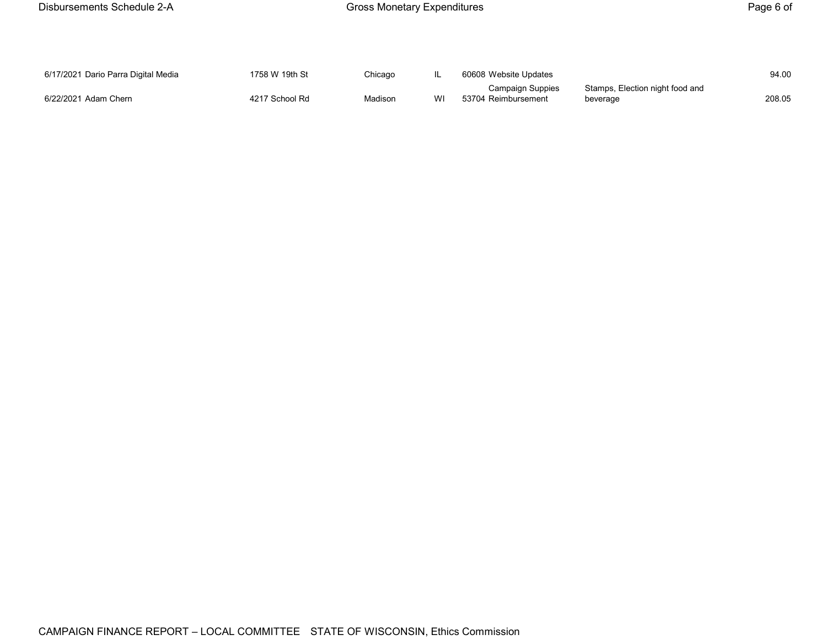| 6/17/2021 Dario Parra Digital Media | 1758 W 19th St | Chicago |    | 60608 Website Updates   |                                 | 94.00  |
|-------------------------------------|----------------|---------|----|-------------------------|---------------------------------|--------|
|                                     |                |         |    | <b>Campaign Suppies</b> | Stamps, Election night food and |        |
| 6/22/2021 Adam Chern                | 4217 School Rd | Madison | WI | 53704 Reimbursement     | beverage                        | 208.05 |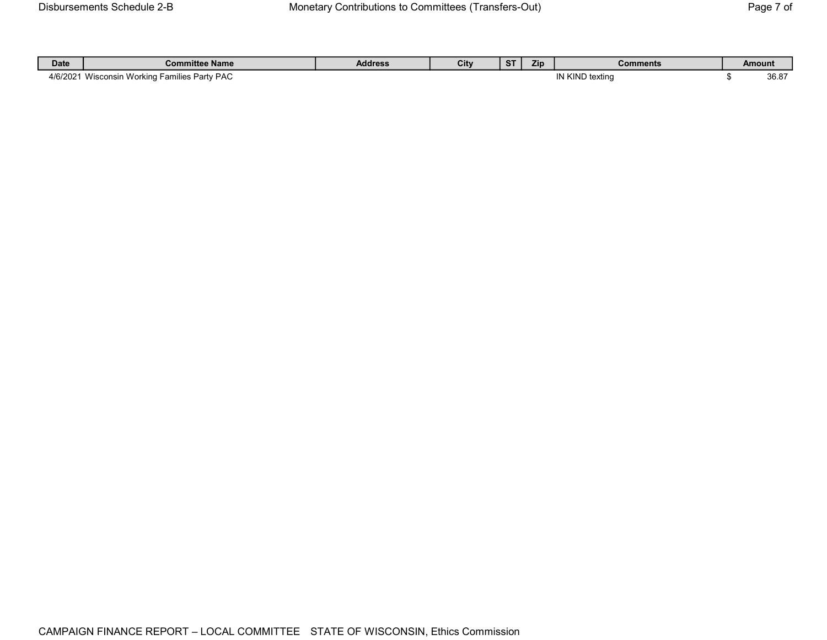| <b>Date</b> | <b>Committee Name</b>                                             | Address | City | $\sim$ | Zip | <b>Comments</b>                              | Amount           |
|-------------|-------------------------------------------------------------------|---------|------|--------|-----|----------------------------------------------|------------------|
| 4/6/2021    | $\cdots$<br><b>Families Party PAC</b><br><br>Norkina<br>Wisconsin |         |      |        |     | $\sim$ 1 $\sim$ 1 $\sim$<br>.<br>JND textina | $\Omega$<br>30.O |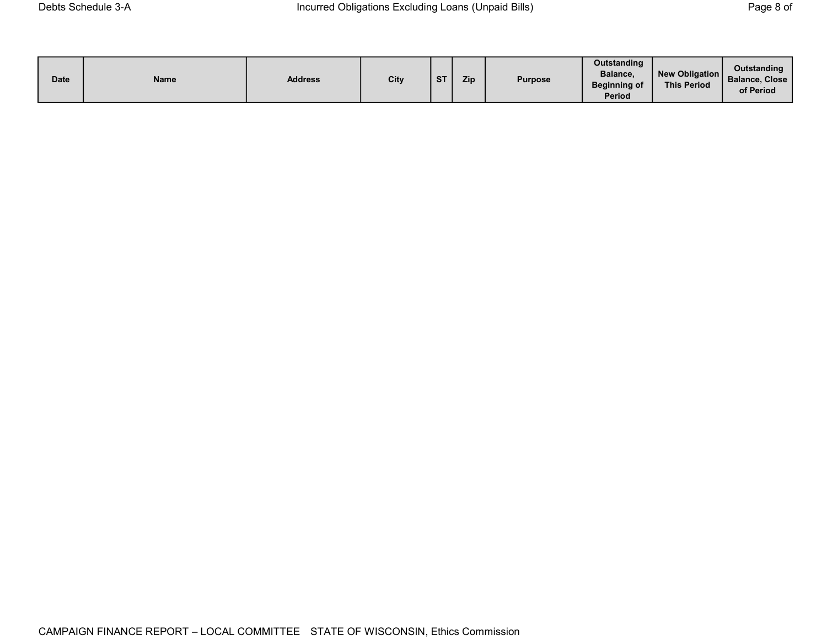| <b>Date</b> | Name | <b>Address</b> | City | <b>ST</b> | Zip | <b>Purpose</b> | Outstanding<br>Balance,<br><b>Beginning of</b><br><b>Period</b> | New Obligation<br><b>This Period</b> | Outstanding<br><b>Balance, Close</b><br>of Period |
|-------------|------|----------------|------|-----------|-----|----------------|-----------------------------------------------------------------|--------------------------------------|---------------------------------------------------|
|-------------|------|----------------|------|-----------|-----|----------------|-----------------------------------------------------------------|--------------------------------------|---------------------------------------------------|